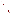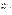| <b>RFA NO:</b> | <b>OAR-ASD-05-18</b>                                                  |
|----------------|-----------------------------------------------------------------------|
| <b>ACTION:</b> | Request for Application (RFA) or Request for Initial Proposals (RFIP) |
| <b>TITLE:</b>  | Fellowship Support for Graduate Students in Engineering and Science   |
|                | AGENCY: ENVIRONMENTAL PROTECTION AGENCY (EPA)                         |

### **CATALOG OF FEDERAL DOMESTIC ASSISTANCE (CFDA) NO:** 66.034

**DATES:** The closing date for receipt of applications is November 14, 4:00 p.m. EST. Applications submitted via U.S. mail must be received in the Program Office by the closing date and time. No late proposals will be accepted.

**SUMMARY:** EPA's Office of Transportation and Air Quality (OTAQ) is soliciting applications for a cooperative agreement to provide up to four fellowships to graduate students in the fields of engineering and science, as related to mobile source air pollution. The goal of these fellowships is to support increased diversity at the graduate student level in the fields of engineering and science. In addition, under a separate program, the EPA will provide internships to these graduate students. These internships will introduce the selected graduate students to the possibilities of a career working to better understand and improve air quality through pursuing research and advances in science and technology related to reducing mobile source air emissions.

This cooperative agreement will annually fund up to four graduate-level students pursuing Master of Science or PhD. degrees in either engineering or science. This program will take place from January 1st, 2006, to December 31st, 2008.

Through this cooperative, EPA OTAQ is supporting the pursuit of advanced degrees in engineering and science by a diverse student population. As the United States faces increasing technical and scientific challenges at home and globally, it is important to ensure that it has a large diverse population of well-educated, highly-trained people to address and find solutions to these challenges, including the challenge of finding ways to improve air quality by reducing emissions from mobile air pollution sources.

**FUNDING/AWARDS:** The total estimate funding for this competitive opportunity is approximately \$425,000. EPA anticipates award of one cooperative agreement with an estimated annual value of \$85,000, resulting from this announcement, subject to availability of funds.

### **CONTENTS BY SECTION**

- I. Funding Opportunity Description
- II. Award Information
- III. Eligibility Information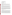- IV. Application and Submission Information
- V. Application Review Information
- VI. Award Administration Information
- VII. Agency Contacts
- VIII. Other Information

## **Section I - Funding Opportunity Description.**

### **A. Background**

EPA's Office of Transportation and Air Quality is soliciting applications for a cooperative agreement to provide up to four fellowships annually for three years to graduate students pursuing Master of Science or PhD. degrees in either engineering or science, subject to availability of funds. This program will be in effect for 3 years, from January 1, 2006, to December 31, 2008.

The goal of these fellowships is to support increased diversity at the graduate student level in the fields of engineering and science, as related to mobile source air pollution. In addition, separately from this cooperative agreement, EPA will provide the graduate students selected for the fellowships with internships. These internships will introduce them to the possibilities of a career working to better understand and improve air quality through pursuing research and advances in science and technology related to reducing mobile source air emissions.

Through this cooperative agreement, EPA OTAQ is supporting the pursuit of advanced degrees in engineering and science by a diverse student population, as well as providing the selected graduate students with internships that will provide training to apply their academic knowledge to addressing real-world air quality issues at EPA OTAQ. As the United States faces increasing technical and scientific challenges at home and globally, it is important to ensure that it has a large diverse population of well-educated, highly-trained people to address and find solutions to these challenges, including the challenge of finding ways to improve air quality by reducing emissions from mobile air pollution sources.

## **B. Scope of Work**

The fellowship program will operate under the recipient's guidance/corporation. The recipient will select graduate students from accredited graduate programs throughout the United States for up to four fellowships annually, subject to the availability of funding. The recipient will receive up to \$85,000 to oversee and provide fellowships for up to four graduate students pursuing Master of Science or PhD. degrees in either engineering or science. The recipient will receive \$15,000 to oversee and provide a fellowship for a graduate student pursuing a Master of Science degree. Of this amount, a minimum of \$12,000 will go toward the actual fellowship. The recipient will receive \$23,000 to oversee and provide a fellowship to a graduate student pursuing a PhD. degree. Of this amount, a minimum of \$20,000 will go toward the actual fellowship. The combination of graduate students pursuing Master and PhD. degrees that the recipient selects will not exceed the annual maximum of \$85,000 in funding, including administrative costs and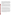other direct costs (i.e., the recipient would not be able to select four graduate students pursuing PhD. degrees because the sum of the fellowships (\$23,000 X 4) would exceed \$85,000). The candidates that the recipient selects will be pursuing areas of study that align well with advanced vehicle technology research and the study of mobile source air emissions and methods to reduce them. Some examples include but are not limited to chemistry, chemical engineering, mechanical engineering, environmental science, environmental engineering, and earth sciences. If possible, the selected graduate students should have an expressed interest in working in the environmental field. The grantee will provide a list of the selected graduate students that includes each student's grade point average, area of study, and any notable achievements, awards, or accomplishments.

It is intended that the graduate fellowship program will be complemented with an internship program, funded separately from this cooperative agreement, in which the selected graduate students will work as interns at EPA OTAQ's National Vehicle Fuels and Emissions Laboratory (NVFEL) in Ann Arbor, Michigan. The selected students will be responsible for their travel and housing costs. The selected graduate students will be assigned to projects that will give them hands-on experience with the engineering or scientific aspects of mobile source air pollution control. Two of the graduate students will be assigned to projects in OTAQ's Advanced Technology Division and two will be assigned to projects in OTAQ's Assessment and Standards Division.

Each of the graduate students will be assigned a mentor that will work directly with and oversee the graduate student on his or her project. The mentor will also work to ensure that the graduate student has a fulfilling and positive learning and working experience at EPA.

Once the selection of the graduate students has been finalized, the recipient will monitor the academic performance of the students and check in with them via telephone at least once per month, or more frequently if needed. In addition, the recipient will have monthly conference calls, or more often if needed, with the EPA Project Officer to report on the academic performance of the students and for EPA to report on the performance of the students during their internships. The recipient and EPA will work together to address any questions, concerns, or issues that the chosen students might have that are related to this cooperative agreement.

At the end of each calendar year during the period of performance of the cooperative agreement, the recipient will send a report to EPA discussing the success of the cooperative agreement program for that year, the academic performance of the students during the fellowship/internship program, problems or issues encountered, how any problems or issues were resolved, and recommendations on improvements to the process. At the end of the period of performance for the cooperative agreement, the recipient will prepare a summary report that incorporates previous annual reports plus a report for the last year, as well as a summary of the overall success of the cooperative agreement and lessons learned.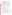### **C. EPA Strategic Plan Linkage and Anticipated Outcomes/Outputs**

1**. Linkage to EPA Strategic Plan**. This project supports progress towards EPA Strategic Plan Goal 1 (Clean Air and Global Climate Change), Objective 1.1 (Healthier Outdoor Air), Sub-Objective 1.1.1 (More People Breathing Cleaner Air). This project supports EPA efforts to promote clean air education by providing opportunities for increased representation in the fields of engineering and environmental science for graduate students.

2. **Outcomes**. The outcome of this project will be that these graduate students will have a better understanding of the relationship between combustion engines and air pollution, and that they might use this understanding in their engineering or science careers to help research and design equipment, vehicles, and fuels that will contribute toward EPA's goal of cleaner air.

3. **Outputs.** The output of this project will be to support four graduate students in their pursuit of advanced degrees in engineering and science and provide them a chance to work in and learn about the engineering and scientific areas of reducing air pollution from mobile sources in order to improve air quality.

### **D. Supplementary Information.**

The statutory authority for this action is Clean Air Act, Section 103(b)(5) which authorizes the award of cooperative agreements to conduct and promote coordination and acceleration of training for individuals relating to the causes, effects, extent, prevention, and control of air pollution.

### **Section II - Award Information.**

## **A. What is the amount of funding available?**

The total estimated funding for this competitive opportunity is approximately \$425,000. Project will be funded in one year increments of approximately \$85,000 over a five year period

## **B. How many agreements will EPA award in this competition?**

EPA anticipates award of one cooperative agreement(s) resulting from this announcement.

Cooperative agreements permit substantial involvement between the EPA Project Officer and the selected applicants in the performance of the work supported. Although EPA will negotiate precise terms and conditions relating to substantial involvement as part of the award process, the anticipated substantial Federal involvement for this project may be:

- 1. close monitoring of the successful applicant's performance to verify the results proposed by the applicant;
- 2. collaboration during performance of the scope of work;
- 3. in accordance with 40C.F.R. 31.36(g), review of proposed procurements;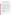- 4. approving qualifications of key personnel (EPA will not select employees or contractors employed by the award recipient);
- 5. review and comment on reports prepared under the cooperative agreement (the final decision on the content of reports rests with the recipient).

### **C. What is the project period for awards resulting from this solicitation?**

The estimated project period for awards resulting from this solicitation is January 1, 2006 through December 31, 2008. All projects must be completed within the negotiated project performance period of 3 years.

#### **D. Can funding be used to acquire services or fund other partnerships?**

Funding may be used to acquire services or fund partnerships, provided the recipient follows procurement and sub-award or sub-grant procedures contained in 40 CFR Parts 30 or 31, as applicable. Successful applicants must compete contracts for services and products and conduct cost and price analyses to the extent required by these regulations. The regulations also contain limitations on consultant compensation. Applicants are not required to identify contractors or consultants in their proposal. Moreover, the fact that a successful applicant has named a specific contractor or consultant in the proposal EPA approves does not relieve it of its obligations to comply with competitive procurement requirements.

Sub-grants or sub-awards may be used to fund partnerships with universities and non-profit organizations. Successful applicants cannot use sub-grants or sub-awards to avoid requirements in EPA regulations for competitive procurement by using these instruments to acquire commercial services or products to carry out its cooperative agreement. The nature of the transaction between the recipient and the sub-grantee must be consistent with the standards for distinguishing between vendor transactions and sub-recipient assistance under Subpart B Section .210 of [OMB Circular](http://www.whitehouse.gov/omb/circulars/) A-133, and the definitions of "sub-award" at 40 CFR 30.2(ff) or "subgrant" at 40 CFR 31.3, as applicable. EPA will not be a party to these transactions.

### **E. Can projects be partially funded?**

EPA reserves the right to partially fund proposals/applications by funding discrete activities, portions, or phases of the proposed project. If EPA decides to partially fund the proposal/application, it will do so in a manner that does not prejudice any applicants or affect the basis upon which the proposal/application, or portion thereof, was evaluated and selected for award, and that maintains the integrity of the competition and the evaluation/selection process.

### **Section III - Eligibility Information.**

### **A. Eligible Entities.**

Proposals will be accepted from States, territories, Indian Tribes, and possessions of the U.S., including the District of Columbia, international organizations, public and private universities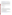and colleges, hospitals, laboratories, other public or private nonprofit institutions. universities, state, local, multi-state, tribal governmental agencies and non-profit organizations, as defined b[y OMB Circular](http://www.whitehouse.gov/omb/circulars/) A-122.

Non-profit organization, as defined b[y OMB Circular](http://www.whitehouse.gov/omb/circulars/) A-122, means any corporation, trust, association, cooperative, or other organization which: (1) is operated primarily for scientific, educational, service, charitable, or similar purposes in the public interest; (2) is not organized primarily for profit; and (3) uses its net proceeds to maintain, improve, and/or expand its operations. For this purpose, the term "non-profit organization" excludes (i) colleges and universities; (ii) hospitals; (iii) state, local, and federally-recognized Indian tribal governments; and (iv) those non-profit organizations which are excluded from coverage of this Circular in accordance with paragraph 5 of the Circular.

Non-profit organizations described in Section 501(c)(4) of the Internal Revenue Code that engage in lobbying activities as defined in Section 3 of the Lobbying Disclosure Act of 1995 are not eligible to apply.

## **B. Threshold Eligibility Criteria.**

None.

# **C. Are matching funds required?**

No.

# **D. Substantial Compliance**

Applications that do not substantially comply with the application submission instructions and requirements set forth in Section IV will be rejected. Applications and initial proposals must be received by the EPA on or before the solicitation closing date published in Section IV of this announcement. Applications received after the published closing date will be returned to the sender without further consideration. Also, applications exceeding the funding limits described herein will be returned without review.

# **Section IV - Application and Submission Information.**

# **A. How to Obtain Application Package.**

Applicants may download individual grant application forms, or electronically request a paper application package and an accompanying computer CD of information related to applicants/grant recipients roles and responsibilities from EPA's Office of Grants and Debarment website at: [\(http://www.epa.gov/ogd/grants/how\\_to\\_apply.htm\)](http://www.epa.gov/ogd/grants/how_to_apply.htm).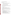### **B. Content and Form of Application Submission.**

Applications must contain a narrative workplan, budget, budget narrative and one original completed and signed SF-424.

- 1. A complete application must contain the following:
	- A. SF-424 Application for Federal Assistance, with original signature
	- B. Narrative Work Plan (including Detailed Itemized Budget), in the format detailed below
	- C. SF-424 A, Budget by categories and indirect cost rate
	- D. SF-424 B, Assurances for non-construction programs
- 2. The narrative workplan should conform to the following outline:
	- a. Cover Letter: Describe your organization's qualifications for the project; must be signed by an official with the authority to commit your organization to the project; and written on your organization's official letterhead.
	- b. Summary Information Page:
		- 1. Project Title.
		- 2. Applicant Information. Include applicant (organization) name, address, contact person, phone number, fax and e-mail address.
		- 3. Funding Requested. Specify the amount you are requesting from EPA.
	- c. Project Description: The project description must provide a concise overview of how the applicant will implement and conduct its operation and include a Project Work Plan (including a description of all tasks, dates of completion, products and deliverables, and proposed budget).

 The narrative work plan must discuss how the proposal addresses each of the selection criteria in Section V and include:

- 1. A detailed project summary, describing specific actions and methods to be undertaken and the responsible institutions;
- 2. The associated work products to be developed (e.g. partnership agreements, if any);
- 3. An explanation of project benefits to the public;
- 4. An explanation of how project outcomes (e.g., fuel economy and emissions benefits) will be designed for reinvestment;
- 5. A detailed explanation of how project success will be evaluated; *(Refer to Section V(A), Evaluation Criteria, "Performance Measurement.")*
- 6. A description of the roles of the applicant and partners, if any;
- 7. Plan for tracking and measuring progress toward achieving the expected environmental outputs/outcomes identified in Section I of this announcement, and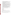- 8. Biographical information on key personnel identified.
- 9. U.S. Citizenship. EPA's training cooperative agreement regulations cited in 40 CFR 45.135(a) require cooperative agreement-funded trainees to be citizens of the U.S. or of its territories or possessions, or must be lawfully admitted to the U.S. for permanent residence. Applicants must specify the percentage of their student population that meets this requirement.
- 10. Stipends. Describe the process that will be used to ensure proper management and payment of student stipends.
- 11. Reporting/Recordkeeping. The recipient must have the ability to maintain records of students according to major, project identification, dates of fellowship/internship, and any other pertinent information that would be used in final reports.
- 12. Student Application Processing and Evaluation. The recipient must have a system to process and evaluate student applications. At a minimum, the application process must be able to evaluate applicants on the basis of their academic record, computer skills, and relevant work experience. If possible, writing ability and special academic awards or honors should also be considered.
- 13. Student Eligibility Requirements for EPA Internships Students must be enrolled in or have been accepted into an accredited graduate school program. Students must have a GPA of 2.8 or higher to meet eligibility requirements at EPA.
- 14. Internship Management The recipient must describe their recruitment priorities, fellowship management and expectations in terms of interaction with EPA.
- 15. Program Effectiveness The applicant must discuss how they plan to evaluate, on a yearly basis, the success of the fellowship/internship program.
- d. Detailed Itemized Budget: The proposal must include a detailed budget which clearly explains how funds will be used for the following categories:
	- 1. Personnel
	- 2. Fringe Benefits
	- 3. Contractual Costs
	- 4. Travel
	- 5. Equipment
	- 6. Supplies
	- 7. Other (including intern stipends)
	- 8. Total Indirect Costs (must include documentation of accepted indirect rate)
	- 9. Total Cost

If not self-evident, entries under each category must be explained in a budget narrative or in the project description. Costs proposed in the budget should be linked directly to the proposal.

e. Key Personnel: The applicant must submit an appendix with the resumes of up to three (3) key personnel who will be significantly involved in the project.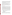- f. Reporting Requirements. Discuss quarterly updates (schedule to be established by EPA) and a detailed follow-up final report. The final report must include: summary of the project, advances achieved if applicable, and costs of the project. In addition, the final report shall discuss the problems, successes, lessons learned from the demonstration project that could help overcome structural, organizational or technical obstacles to implementing a similar project elsewhere.
- g. Programmatic Capability. Applicants must submit information relating to the programmatic capability criteria to be evaluated under the ranking factor(s) in section V of the announcement. EPA will consider information provided by the applicant and may consider information from other sources including Agency files.

Applicants are strongly advised to avoid submission of non-essential materials unrelated to the proposal's requirements. All application materials must be completed in English. Only the applicant recommended for award will be required to submit a full application package.

### **C. Submission Dates and Times.**

- 1. The deadline for submission of completed application packages is November 14, 4 p.m. EST. All application packages must be received in the program office listed below by the deadline. Applications received after the deadline will not be considered for funding.
- 2. **Confidential Business Information.** In accordance with 40 CFR 2.203, applicants may claim all or a portion of their application/proposal as confidential business information. EPA will evaluate confidential claims in accordance with 40 CFR Part 2. Applicants must clearly mark applications/proposals or portions of applications/proposals they claim as confidential. If no claim of confidentiality is made, EPA is not required to make the inquiry to the applicant otherwise required by 40 CFR 2.204 (c)(2) prior to disclosure.
- 3. Because of the unique situation involving U.S. mail screening. EPA highly recommends that applicants use an express mail option to submit their applications. Please provide original proposal and four copies (no binders or spiral binding) to the following address:

Express Delivery Address (FedEx, UPS, DHL, etc.) or U.S. Postal Service U.S. EPA National Vehicle and Fuel Emissions Laboratory Attention: Greg Janssen Assessment and Standards Division 2000 Traverwood Drive Ann Arbor, MI 48105

4. All applicants are required to provide a Dun and Bradstreet (D&B) Data Universal Numbering System (DUNS) number when applying for a Federal grant or cooperative agreement. Applicants can receive a DUNS number, at no cost, by calling the dedicated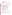toll-free DUNS Number request line at 1-866-705-5711, or visiting the D&B website at: [http://www.dnb.com.](http://www.dnb.com)

### **Section V - Application Review Information.**

Each eligible application will be evaluated according to the criteria set forth below. Applicants must directly and explicitly address these criteria as part of their application submittal. Each application will be rated under a points system, with a total of 100 points possible.

### **A. Evaluation Criteria.**

| <b>Criteria</b>                                                                                                             | <b>Maximum</b><br><b>Points</b><br><b>Per Criterion</b> |
|-----------------------------------------------------------------------------------------------------------------------------|---------------------------------------------------------|
| Access to a Diverse Body of Graduate Students from All Over US: Methods used by the                                         | 25                                                      |
| applicant to recruit a diverse range of engineering and science graduate students from all                                  |                                                         |
| over the United States.                                                                                                     |                                                         |
| Recommendation of Fellowship/Internship Candidates: Methods that the applicant will                                         | 25                                                      |
| use to select up to four graduate students per year for the EPA fellowships and internships.                                |                                                         |
| <b>Programmatic Capability.</b> Extent to which proposal demonstrates the applicant's                                       | 30                                                      |
| technical capability to successfully carry out this project. This factor will evaluate the                                  |                                                         |
| applicant's:                                                                                                                |                                                         |
| Past perforormance in successfully completing federally and/or non-federally                                                |                                                         |
| funded projects similar in size, scope, and relevance to the proposed project;                                              |                                                         |
| History of meeting reporting requirements on prior or current assistance<br>$\bullet$                                       |                                                         |
| agreements with federal and/or non-federal organizations and submitting                                                     |                                                         |
| acceptable final technical reports;                                                                                         |                                                         |
| Organizational experience and plan for timely and successfull achievement of the<br>$\bullet$<br>objectives of the project; |                                                         |
| Staff expertise/qualifications, staff knowledge, and resources or the ability to<br>$\bullet$                               |                                                         |
| obtain them to successfully achieve the goals of the project;                                                               |                                                         |
| Proposed method for recruitment, supervision, and evaluation of the graduate<br>$\bullet$                                   |                                                         |
| students/interns as they carry out their fellowships;                                                                       |                                                         |
| Administration – system for reporting, record keeping, and tracking outreach and                                            |                                                         |
| related activities.                                                                                                         |                                                         |
| Performance Measurement. Effectiveness of applicant's plan for tracking and                                                 | 20                                                      |
| measuring progress toward achieving expected outputs and outcomes identified in Section                                     |                                                         |
| 1 of this announcement.                                                                                                     |                                                         |

#### **B. Other Factors.** None.

### **C. Review and Selection Process.**

Each application will be evaluated by a team chosen to address the full range of considerations contained in the evaluation criteria. The evaluation team will base its evaluations solely on the selection criteria disclosed in this notice. (see Section V(A), Evaluation Criteria).

Completed evaluations will be referred to the recommending official for approval. The highest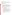numerically-ranked proposal (subject to the quality of proposals and availability of funds) will be recommended for award.

The Office of Transportation and Air Quality expects to complete the Evaluation/Selection process and make recommendations to EPA's Office of Grants and Disbarment by December 2, 2005.All applicants will be notified with 15 days of selection decisions, regarding their application's status.

## **Section VI - Award Administration Information.**

## **A. Award Notices.**

Following final selections, all applicants will be notified regarding their application's status.

- 1. EPA anticipates notification to successful applicant(s) will be made via telephone, electronic or postal mail within 15 days of selection. This notification, which advises that the applicant's proposal has been selected and is being recommended for award, is not an authorization to begin performance. The award notice signed by the EPA grants officer is the authorizing document and will be provided through postal mail. At a minimum, this process can take up to 60 days from the date of selection.
- 2. EPA anticipates notification to unsuccessful applicant(s) will be made via electronic or postal mail within 15 days of selection decisions. In either event, the notification will be sent to the original signer of the application.

# **B. Administrative and National Policy Requirements.**

- 1. A listing and description of general EPA Regulations applicable to the award of assistance agreements may be viewed at: [http://www.epa.gov/ogd/AppKit/applicable\\_epa\\_regulations\\_and\\_description.htm](http://www.epa.gov/ogd/AppKit/applicable_epa_regulations_and_description.htm)
- 2. Executive Order 12372, Intergovernmental Review of Federal Programs may be applicable to awards, resulting from this announcement. Applicants selected for funding may be required to provide a copy of their proposal to their [State Point of](http://www.whitehouse.gov/omb/grants/spoc.html)  [Contact](http://www.whitehouse.gov/omb/grants/spoc.html) (SPOC) for review, pursuant to Executive Order 12372, Intergovernmental Review of Federal Programs. This review is not required with the Initial Proposal and not all states require such a review.
- 3. Grants and agreements with institutions of higher education are subject to 40 CFR Parts 30 and 40 and [OMB circular](http://www.whitehouse.gov/omb/circulars/) A-122 for non-profits and A-21 for institutions of higher learning.
- 4. Programmatic Terms and conditions will be negotiated with the selected recipient.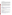#### **C. Reporting Requirement.**

Monthly conference calls, annual progress reports and a detailed final report will be required. Annual reports summarizing student performance, problems encountered, recommendation for improvements, and summary of expenditures-to-date are required. The schedule for submission of annual reports will be 30 days after the end of the calendar year. The Final report shall be completed within 90 calendar days of the completion of the period of performance. The final report should include: a summary of how each student has performed, problems encountered, lessons learned, and a final summary of expenses.

While the Agency will negotiate precise terms and conditions relating to substantial involvement as part of the award process, EPA expects to closely monitor the successful applicant(s) performance, collaborate during the performance of the scope of work, approve the substantive terms of proposed contracts, approve the qualifications of key personnel, review and comment on reports prepared under the cooperative agreement, and evaluate the engineering improvements on an EPA demonstration project. EPA will not select employees or contractors employed by the recipient(s) and the final decision on the content of reports rests with the recipient(s).

## **D. Disputes.**

Assistance agreement competition-related disputes will be resolved in accordance with the dispute resolution procedures published in 70 FR (Federal Register) 3629, 3630 (January 26, 2005) which can be found at:

[http://a257.g.akamaitech.net/7/257/2422/01jan20051800/edocket.access.gpo.gov/2005/05-1371.](http://a257.g.akamaitech.net/7/257/2422/01jan20051800/edocket.access.gpo.gov/2005/05-1371.htm) [htm.](http://a257.g.akamaitech.net/7/257/2422/01jan20051800/edocket.access.gpo.gov/2005/05-1371.htm) Copies of these procedures may also be requested by contacting Greg Janssen at (734) 214-4285 or at janssen.greg@epa.gov.

## **E. Pre-Award Administrative Capability Review**.

Non-profit applicants recommended for funding under this solicitation will be subject to preaward administration capability reviews consistent with sections 8.b, 8.c and 9.d of EPA Order 5700.8

## **Section VII - Agency Contact.**

**FOR FURTHER INFORMATION CONTACT:** Greg Janssen, U.S. EPA National Vehicle and Fuel Emissions Laboratory, Assessment and Standards Division, 2000 Traverwood Drive, Ann Arbor, MI 48105. Phone (734) 214-4285; Fax: (734) 214-4939 or email to: [janssen.greg@epa.gov](mailto:janssen.greg@epa.gov) 

All questions or comments must be communicated in writing via postal mail, facsimile, or electronic mail to the contact person listed above. Answers will be posted, weekly, until the closing date of this announcement at the OAR Grants/Funding webpage [\(http://www.epa.gov/air/grants\\_funding.html\)](http://www.epa.gov/air/grants_funding.html).